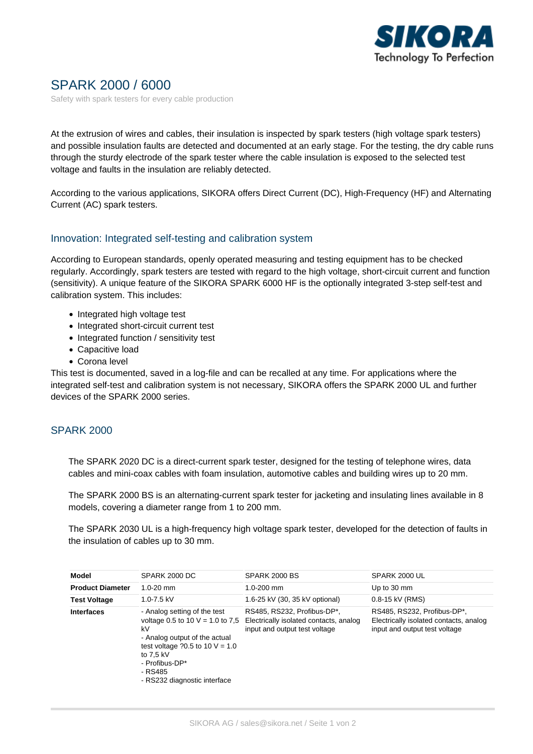

# SPARK 2000 / 6000

Safety with spark testers for every cable production

At the extrusion of wires and cables, their insulation is inspected by spark testers (high voltage spark testers) and possible insulation faults are detected and documented at an early stage. For the testing, the dry cable runs through the sturdy electrode of the spark tester where the cable insulation is exposed to the selected test voltage and faults in the insulation are reliably detected.

According to the various applications, SIKORA offers Direct Current (DC), High-Frequency (HF) and Alternating Current (AC) spark testers.

#### Innovation: Integrated self-testing and calibration system

According to European standards, openly operated measuring and testing equipment has to be checked regularly. Accordingly, spark testers are tested with regard to the high voltage, short-circuit current and function (sensitivity). A unique feature of the SIKORA SPARK 6000 HF is the optionally integrated 3-step self-test and calibration system. This includes:

- Integrated high voltage test
- Integrated short-circuit current test
- Integrated function / sensitivity test
- Capacitive load
- Corona level

This test is documented, saved in a log-file and can be recalled at any time. For applications where the integrated self-test and calibration system is not necessary, SIKORA offers the SPARK 2000 UL and further devices of the SPARK 2000 series.

## SPARK 2000

The SPARK 2020 DC is a direct-current spark tester, designed for the testing of telephone wires, data cables and mini-coax cables with foam insulation, automotive cables and building wires up to 20 mm.

The SPARK 2000 BS is an alternating-current spark tester for jacketing and insulating lines available in 8 models, covering a diameter range from 1 to 200 mm.

The SPARK 2030 UL is a high-frequency high voltage spark tester, developed for the detection of faults in the insulation of cables up to 30 mm.

| Model                   | <b>SPARK 2000 DC</b>                                                                                                                                                                                                     | SPARK 2000 BS                                                                                          | SPARK 2000 UL                                                                                          |
|-------------------------|--------------------------------------------------------------------------------------------------------------------------------------------------------------------------------------------------------------------------|--------------------------------------------------------------------------------------------------------|--------------------------------------------------------------------------------------------------------|
| <b>Product Diameter</b> | $1.0 - 20$ mm                                                                                                                                                                                                            | $1.0 - 200$ mm                                                                                         | Up to 30 mm                                                                                            |
| <b>Test Voltage</b>     | $1.0 - 7.5$ kV                                                                                                                                                                                                           | 1.6-25 kV (30, 35 kV optional)                                                                         | 0.8-15 kV (RMS)                                                                                        |
| <b>Interfaces</b>       | - Analog setting of the test<br>voltage 0.5 to 10 $V = 1.0$ to 7,5<br>kV<br>- Analog output of the actual<br>test voltage $20.5$ to 10 V = 1.0<br>to 7.5 kV<br>- Profibus-DP*<br>- RS485<br>- RS232 diagnostic interface | RS485, RS232, Profibus-DP*,<br>Electrically isolated contacts, analog<br>input and output test voltage | RS485, RS232, Profibus-DP*,<br>Electrically isolated contacts, analog<br>input and output test voltage |